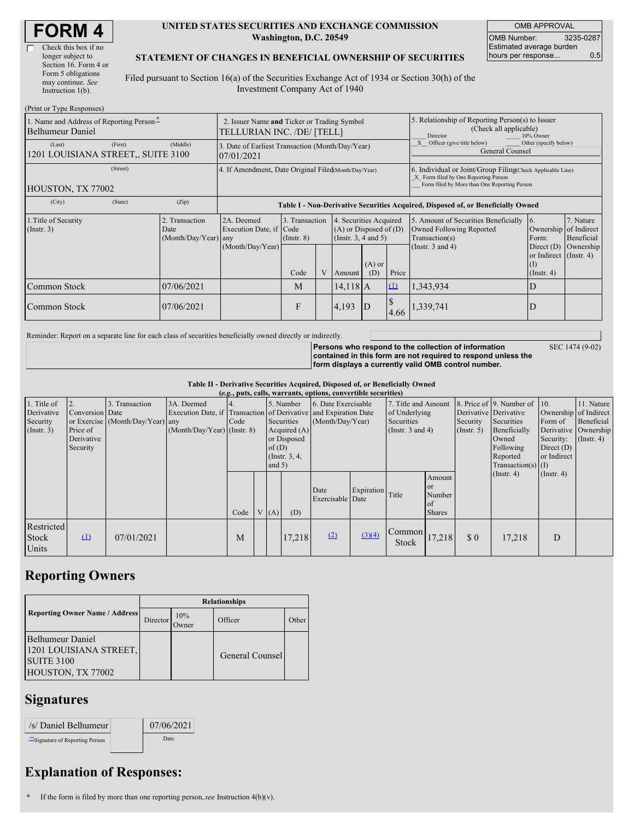| <b>FORM 4</b> |  |
|---------------|--|
|---------------|--|

| Check this box if no  |
|-----------------------|
| longer subject to     |
| Section 16. Form 4 or |
| Form 5 obligations    |
| may continue. See     |
| Instruction $1(b)$ .  |

### **UNITED STATES SECURITIES AND EXCHANGE COMMISSION Washington, D.C. 20549**

OMB APPROVAL OMB Number: 3235-0287 Estimated average burden hours per response... 0.5

### **STATEMENT OF CHANGES IN BENEFICIAL OWNERSHIP OF SECURITIES**

Filed pursuant to Section 16(a) of the Securities Exchange Act of 1934 or Section 30(h) of the Investment Company Act of 1940

| (Print or Type Responses)                                    |                                                                           |                                                                |                                   |  |                                                                              |                 |                                                                                                                                                    |                                                                                    |                                                                   |                         |
|--------------------------------------------------------------|---------------------------------------------------------------------------|----------------------------------------------------------------|-----------------------------------|--|------------------------------------------------------------------------------|-----------------|----------------------------------------------------------------------------------------------------------------------------------------------------|------------------------------------------------------------------------------------|-------------------------------------------------------------------|-------------------------|
| 1. Name and Address of Reporting Person-<br>Belhumeur Daniel | 2. Issuer Name and Ticker or Trading Symbol<br>TELLURIAN INC. /DE/ [TELL] |                                                                |                                   |  |                                                                              |                 | 5. Relationship of Reporting Person(s) to Issuer<br>(Check all applicable)<br>10% Owner<br>Director                                                |                                                                                    |                                                                   |                         |
| (First)<br>(Last)<br>1201 LOUISIANA STREET,, SUITE 3100      | (Middle)                                                                  | 3. Date of Earliest Transaction (Month/Day/Year)<br>07/01/2021 |                                   |  |                                                                              |                 | Officer (give title below)<br>Other (specify below)<br>General Counsel                                                                             |                                                                                    |                                                                   |                         |
| (Street)<br>HOUSTON, TX 77002                                |                                                                           | 4. If Amendment, Date Original Filed(Month/Day/Year)           |                                   |  |                                                                              |                 | 6. Individual or Joint/Group Filing Check Applicable Line)<br>X Form filed by One Reporting Person<br>Form filed by More than One Reporting Person |                                                                                    |                                                                   |                         |
| (City)<br>(State)                                            | (Zip)                                                                     |                                                                |                                   |  |                                                                              |                 | Table I - Non-Derivative Securities Acquired, Disposed of, or Beneficially Owned                                                                   |                                                                                    |                                                                   |                         |
| 1. Title of Security<br>$($ Instr. 3 $)$                     | 2. Transaction<br>Date<br>$(Month/Day/Year)$ any                          | 2A. Deemed<br>Execution Date, if Code                          | 3. Transaction<br>$($ Instr. $8)$ |  | 4. Securities Acquired<br>$(A)$ or Disposed of $(D)$<br>(Insert. 3, 4 and 5) |                 |                                                                                                                                                    | 5. Amount of Securities Beneficially<br>Owned Following Reported<br>Transaction(s) | $\overline{6}$ .<br>Ownership of Indirect<br>Form:                | 7. Nature<br>Beneficial |
|                                                              |                                                                           | (Month/Day/Year)                                               | Code                              |  | Amount                                                                       | $(A)$ or<br>(D) | Price                                                                                                                                              | (Instr. $3$ and $4$ )                                                              | Direct $(D)$<br>or Indirect (Instr. 4)<br>(I)<br>$($ Instr. 4 $)$ | Ownership               |
| Common Stock                                                 | 07/06/2021                                                                |                                                                | M                                 |  | $14,118$ A                                                                   |                 | $\Omega$                                                                                                                                           | 1,343,934                                                                          | D                                                                 |                         |
| Common Stock                                                 | 07/06/2021                                                                |                                                                | F                                 |  | 4,193                                                                        | ID              | 4.66                                                                                                                                               | ,339,741                                                                           | D                                                                 |                         |

Reminder: Report on a separate line for each class of securities beneficially owned directly or indirectly.

**Persons who respond to the collection of information contained in this form are not required to respond unless the form** displays a currel

SEC 1474 (9-02)

|  | ntlv valid OMB control number. |  |  |
|--|--------------------------------|--|--|
|  |                                |  |  |

| Table II - Derivative Securities Acquired, Disposed of, or Beneficially Owned |  |
|-------------------------------------------------------------------------------|--|
|-------------------------------------------------------------------------------|--|

|              | (e.g., puts, calls, warrants, options, convertible securities) |                                  |                                                                  |      |  |                                |                  |                     |                  |                       |               |             |                              |                       |                      |
|--------------|----------------------------------------------------------------|----------------------------------|------------------------------------------------------------------|------|--|--------------------------------|------------------|---------------------|------------------|-----------------------|---------------|-------------|------------------------------|-----------------------|----------------------|
| 1. Title of  | 2.                                                             | 3. Transaction                   | 3A. Deemed                                                       |      |  |                                | 5. Number        | 6. Date Exercisable |                  | 7. Title and Amount   |               |             | 8. Price of 9. Number of 10. |                       | 11. Nature           |
| Derivative   | Conversion Date                                                |                                  | Execution Date, if Transaction of Derivative and Expiration Date |      |  |                                |                  |                     |                  | of Underlying         |               |             | Derivative Derivative        | Ownership of Indirect |                      |
| Security     |                                                                | or Exercise (Month/Day/Year) any |                                                                  | Code |  | Securities<br>(Month/Day/Year) |                  |                     | Securities       |                       | Security      | Securities  | Form of                      | Beneficial            |                      |
| (Insert. 3)  | Price of                                                       |                                  | $(Month/Day/Year)$ (Instr. 8)                                    |      |  |                                | Acquired $(A)$   |                     |                  | (Instr. $3$ and $4$ ) |               | (Insert. 5) | Beneficially                 |                       | Derivative Ownership |
|              | Derivative                                                     |                                  |                                                                  |      |  |                                | or Disposed      |                     |                  |                       | Owned         | Security:   | $($ Instr. 4 $)$             |                       |                      |
|              | Security                                                       |                                  |                                                                  |      |  | of(D)                          |                  |                     |                  |                       |               | Following   | Direct $(D)$                 |                       |                      |
|              |                                                                |                                  |                                                                  |      |  |                                | (Instr. $3, 4$ , |                     |                  |                       |               |             | Reported                     | or Indirect           |                      |
|              |                                                                |                                  |                                                                  |      |  | and $5)$                       |                  |                     |                  |                       |               |             | $Transaction(s)$ (I)         |                       |                      |
|              |                                                                |                                  |                                                                  |      |  |                                |                  |                     |                  |                       | Amount        |             | $($ Instr. 4)                | $($ Instr. 4 $)$      |                      |
|              |                                                                |                                  |                                                                  |      |  |                                |                  | Date                | Expiration Title |                       | <b>or</b>     |             |                              |                       |                      |
|              |                                                                |                                  |                                                                  |      |  |                                |                  | Exercisable Date    |                  |                       | Number        |             |                              |                       |                      |
|              |                                                                |                                  |                                                                  |      |  |                                |                  |                     |                  |                       | of            |             |                              |                       |                      |
|              |                                                                |                                  |                                                                  | Code |  | V(A)                           | (D)              |                     |                  |                       | <b>Shares</b> |             |                              |                       |                      |
| Restricted   |                                                                |                                  |                                                                  |      |  |                                |                  |                     |                  |                       |               |             |                              |                       |                      |
| <b>Stock</b> | $\mathbf{\underline{u}}$                                       | 07/01/2021                       |                                                                  | M    |  |                                | 17,218           | (2)                 | (3)(4)           | Common                | 17,218        | \$0         | 17,218                       | D                     |                      |
| Units        |                                                                |                                  |                                                                  |      |  |                                |                  |                     |                  | <b>Stock</b>          |               |             |                              |                       |                      |
|              |                                                                |                                  |                                                                  |      |  |                                |                  |                     |                  |                       |               |             |                              |                       |                      |

## **Reporting Owners**

|                                                                                      | <b>Relationships</b> |              |                        |       |  |  |
|--------------------------------------------------------------------------------------|----------------------|--------------|------------------------|-------|--|--|
| <b>Reporting Owner Name / Address</b>                                                | Director             | 10%<br>Owner | Officer                | Other |  |  |
| Belhumeur Daniel<br>1201 LOUISIANA STREET,<br><b>SUITE 3100</b><br>HOUSTON, TX 77002 |                      |              | <b>General Counsel</b> |       |  |  |

## **Signatures**

| /s/ Daniel Belhumeur             | 07/06/2021 |
|----------------------------------|------------|
| ** Signature of Reporting Person | Date       |

# **Explanation of Responses:**

**\*** If the form is filed by more than one reporting person,*see* Instruction 4(b)(v).